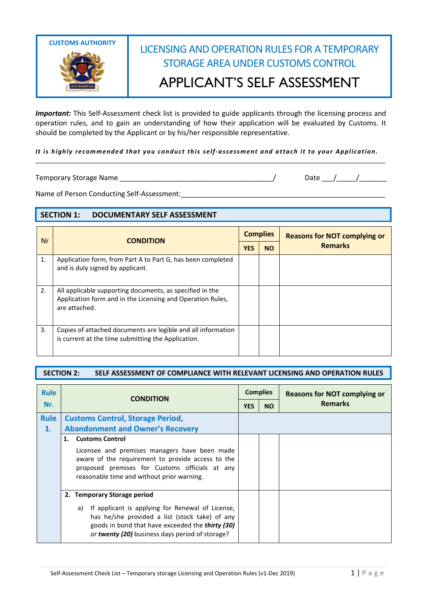

## LICENSING AND OPERATION RULES FOR A TEMPORARY STORAGE AREA UNDER CUSTOMS CONTROL APPLICANT'S SELF ASSESSMENT

*Important:* This Self-Assessment check list is provided to guide applicants through the licensing process and operation rules, and to gain an understanding of how their application will be evaluated by Customs. It should be completed by the Applicant or by his/her responsible representative.

## *It is highly recommended that you conduct this self-assessment and attach it to your Application.* \_\_\_\_\_\_\_\_\_\_\_\_\_\_\_\_\_\_\_\_\_\_\_\_\_\_\_\_\_\_\_\_\_\_\_\_\_\_\_\_\_\_\_\_\_\_\_\_\_\_\_\_\_\_\_\_\_\_\_\_\_\_\_\_\_\_\_\_\_\_\_\_\_\_\_\_\_\_\_\_\_\_\_\_\_\_\_\_\_\_\_\_\_\_\_\_\_\_

Temporary Storage Name \_\_\_\_\_\_\_\_\_\_\_\_\_\_\_\_\_\_\_\_\_\_\_\_\_\_\_\_\_\_\_\_\_\_\_\_\_\_\_/ Date \_\_\_/\_\_\_\_\_/\_\_\_\_\_\_\_

Name of Person Conducting Self-Assessment:\_\_\_\_\_\_\_\_\_\_\_\_\_\_\_\_\_\_\_\_\_\_\_\_\_\_\_\_\_\_\_\_\_\_\_\_\_\_\_\_\_\_\_\_\_\_\_\_\_\_\_\_

## **SECTION 1: DOCUMENTARY SELF ASSESSMENT**

| Nr | <b>CONDITION</b>                                                                                                                        | <b>Complies</b> |           | <b>Reasons for NOT complying or</b> |
|----|-----------------------------------------------------------------------------------------------------------------------------------------|-----------------|-----------|-------------------------------------|
|    |                                                                                                                                         | <b>YES</b>      | <b>NO</b> | <b>Remarks</b>                      |
| 1. | Application form, from Part A to Part G, has been completed<br>and is duly signed by applicant.                                         |                 |           |                                     |
| 2. | All applicable supporting documents, as specified in the<br>Application form and in the Licensing and Operation Rules,<br>are attached. |                 |           |                                     |
| 3. | Copies of attached documents are legible and all information<br>is current at the time submitting the Application.                      |                 |           |                                     |

## **SECTION 2: SELF ASSESSMENT OF COMPLIANCE WITH RELEVANT LICENSING AND OPERATION RULES**

| <b>Rule</b> | <b>CONDITION</b>                                                                                                                                                                                                | <b>Complies</b> |           | <b>Reasons for NOT complying or</b> |  |
|-------------|-----------------------------------------------------------------------------------------------------------------------------------------------------------------------------------------------------------------|-----------------|-----------|-------------------------------------|--|
| Nr.         |                                                                                                                                                                                                                 |                 | <b>NO</b> | <b>Remarks</b>                      |  |
| <b>Rule</b> | <b>Customs Control, Storage Period,</b>                                                                                                                                                                         |                 |           |                                     |  |
| 1.          | <b>Abandonment and Owner's Recovery</b>                                                                                                                                                                         |                 |           |                                     |  |
|             | 1. Customs Control                                                                                                                                                                                              |                 |           |                                     |  |
|             | Licensee and premises managers have been made<br>aware of the requirement to provide access to the<br>proposed premises for Customs officials at any<br>reasonable time and without prior warning.              |                 |           |                                     |  |
|             | 2. Temporary Storage period                                                                                                                                                                                     |                 |           |                                     |  |
|             | If applicant is applying for Renewal of License,<br>a)<br>has he/she provided a list (stock take) of any<br>goods in bond that have exceeded the thirty (30)<br>or twenty (20) business days period of storage? |                 |           |                                     |  |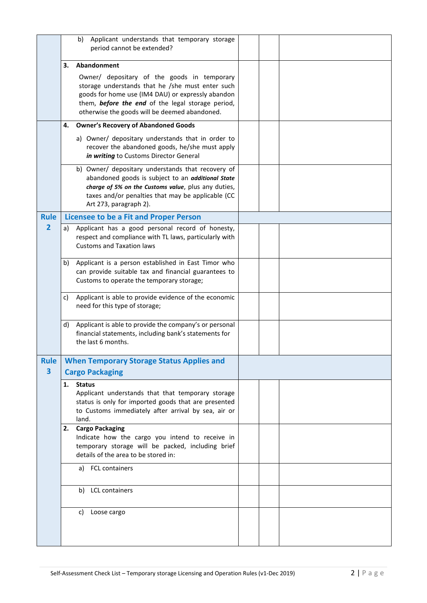|                                        | Applicant understands that temporary storage<br>b)<br>period cannot be extended?                                                                                                                                                                           |  |
|----------------------------------------|------------------------------------------------------------------------------------------------------------------------------------------------------------------------------------------------------------------------------------------------------------|--|
|                                        | Abandonment<br>3.                                                                                                                                                                                                                                          |  |
|                                        | Owner/ depositary of the goods in temporary<br>storage understands that he /she must enter such<br>goods for home use (IM4 DAU) or expressly abandon<br>them, before the end of the legal storage period,<br>otherwise the goods will be deemed abandoned. |  |
|                                        | 4.<br><b>Owner's Recovery of Abandoned Goods</b>                                                                                                                                                                                                           |  |
|                                        | a) Owner/ depositary understands that in order to<br>recover the abandoned goods, he/she must apply<br>in writing to Customs Director General                                                                                                              |  |
|                                        | b) Owner/ depositary understands that recovery of<br>abandoned goods is subject to an additional State<br>charge of 5% on the Customs value, plus any duties,<br>taxes and/or penalties that may be applicable (CC<br>Art 273, paragraph 2).               |  |
| <b>Rule</b>                            | <b>Licensee to be a Fit and Proper Person</b>                                                                                                                                                                                                              |  |
| $\overline{2}$                         | Applicant has a good personal record of honesty,<br>a)<br>respect and compliance with TL laws, particularly with<br><b>Customs and Taxation laws</b>                                                                                                       |  |
|                                        | b)<br>Applicant is a person established in East Timor who<br>can provide suitable tax and financial guarantees to<br>Customs to operate the temporary storage;                                                                                             |  |
|                                        | Applicant is able to provide evidence of the economic<br>c)<br>need for this type of storage;                                                                                                                                                              |  |
|                                        | Applicant is able to provide the company's or personal<br>d)<br>financial statements, including bank's statements for<br>the last 6 months.                                                                                                                |  |
| <b>Rule</b><br>$\overline{\mathbf{3}}$ | <b>When Temporary Storage Status Applies and</b><br><b>Cargo Packaging</b>                                                                                                                                                                                 |  |
|                                        | 1.<br><b>Status</b><br>Applicant understands that that temporary storage<br>status is only for imported goods that are presented<br>to Customs immediately after arrival by sea, air or<br>land.                                                           |  |
|                                        | <b>Cargo Packaging</b><br>2.<br>Indicate how the cargo you intend to receive in<br>temporary storage will be packed, including brief<br>details of the area to be stored in:                                                                               |  |
|                                        | a) FCL containers                                                                                                                                                                                                                                          |  |
|                                        | b) LCL containers                                                                                                                                                                                                                                          |  |
|                                        | c) Loose cargo                                                                                                                                                                                                                                             |  |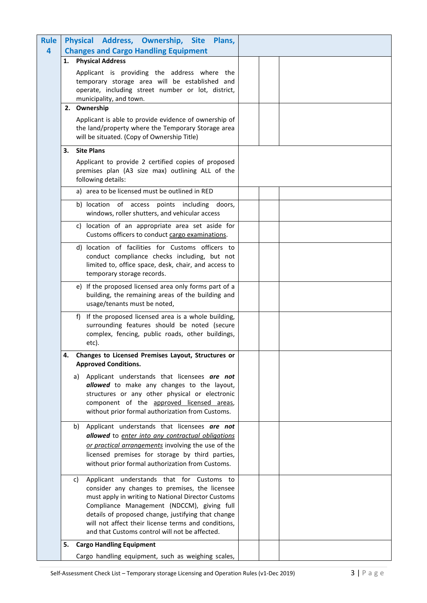| <b>Rule</b> | Physical Address, Ownership, Site<br>Plans,                                                          |  |
|-------------|------------------------------------------------------------------------------------------------------|--|
| 4           | <b>Changes and Cargo Handling Equipment</b>                                                          |  |
|             | <b>Physical Address</b><br>1.                                                                        |  |
|             | Applicant is providing the address where the                                                         |  |
|             | temporary storage area will be established and                                                       |  |
|             | operate, including street number or lot, district,<br>municipality, and town.                        |  |
|             | 2. Ownership                                                                                         |  |
|             | Applicant is able to provide evidence of ownership of                                                |  |
|             | the land/property where the Temporary Storage area                                                   |  |
|             | will be situated. (Copy of Ownership Title)                                                          |  |
|             | <b>Site Plans</b><br>3.                                                                              |  |
|             | Applicant to provide 2 certified copies of proposed                                                  |  |
|             | premises plan (A3 size max) outlining ALL of the                                                     |  |
|             | following details:                                                                                   |  |
|             | a) area to be licensed must be outlined in RED                                                       |  |
|             | b) location of access points including doors,                                                        |  |
|             | windows, roller shutters, and vehicular access                                                       |  |
|             | c) location of an appropriate area set aside for                                                     |  |
|             | Customs officers to conduct cargo examinations.                                                      |  |
|             | d) location of facilities for Customs officers to                                                    |  |
|             | conduct compliance checks including, but not<br>limited to, office space, desk, chair, and access to |  |
|             | temporary storage records.                                                                           |  |
|             | e) If the proposed licensed area only forms part of a                                                |  |
|             | building, the remaining areas of the building and                                                    |  |
|             | usage/tenants must be noted,                                                                         |  |
|             | f) If the proposed licensed area is a whole building,                                                |  |
|             | surrounding features should be noted (secure                                                         |  |
|             | complex, fencing, public roads, other buildings,                                                     |  |
|             | etc).                                                                                                |  |
|             | Changes to Licensed Premises Layout, Structures or<br><b>Approved Conditions.</b>                    |  |
|             | Applicant understands that licensees are not                                                         |  |
|             | a)<br>allowed to make any changes to the layout,                                                     |  |
|             | structures or any other physical or electronic                                                       |  |
|             | component of the approved licensed areas,                                                            |  |
|             | without prior formal authorization from Customs.                                                     |  |
|             | Applicant understands that licensees are not<br>b)                                                   |  |
|             | allowed to enter into any contractual obligations                                                    |  |
|             | or practical arrangements involving the use of the                                                   |  |
|             | licensed premises for storage by third parties,                                                      |  |
|             | without prior formal authorization from Customs.                                                     |  |
|             | Applicant understands that for Customs to<br>c)                                                      |  |
|             | consider any changes to premises, the licensee                                                       |  |
|             | must apply in writing to National Director Customs<br>Compliance Management (NDCCM), giving full     |  |
|             | details of proposed change, justifying that change                                                   |  |
|             | will not affect their license terms and conditions,                                                  |  |
|             | and that Customs control will not be affected.                                                       |  |
|             | 5.<br><b>Cargo Handling Equipment</b>                                                                |  |
|             | Cargo handling equipment, such as weighing scales,                                                   |  |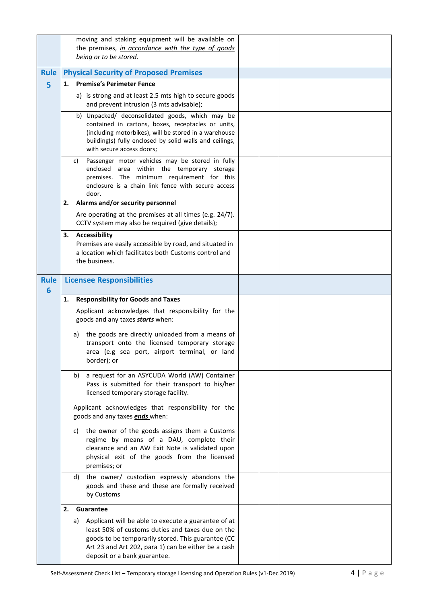|                  | moving and staking equipment will be available on<br>the premises, in accordance with the type of goods<br>being or to be stored.                                                                                                                          |  |
|------------------|------------------------------------------------------------------------------------------------------------------------------------------------------------------------------------------------------------------------------------------------------------|--|
| <b>Rule</b>      | <b>Physical Security of Proposed Premises</b>                                                                                                                                                                                                              |  |
| 5                | <b>Premise's Perimeter Fence</b><br>1.                                                                                                                                                                                                                     |  |
|                  | a) is strong and at least 2.5 mts high to secure goods<br>and prevent intrusion (3 mts advisable);                                                                                                                                                         |  |
|                  | b) Unpacked/ deconsolidated goods, which may be<br>contained in cartons, boxes, receptacles or units,<br>(including motorbikes), will be stored in a warehouse<br>building(s) fully enclosed by solid walls and ceilings,<br>with secure access doors;     |  |
|                  | Passenger motor vehicles may be stored in fully<br>C)<br>enclosed area within the temporary storage<br>premises. The minimum requirement for this<br>enclosure is a chain link fence with secure access<br>door.                                           |  |
|                  | Alarms and/or security personnel<br>2.                                                                                                                                                                                                                     |  |
|                  | Are operating at the premises at all times (e.g. 24/7).<br>CCTV system may also be required (give details);                                                                                                                                                |  |
|                  | <b>Accessibility</b><br>3.<br>Premises are easily accessible by road, and situated in<br>a location which facilitates both Customs control and<br>the business.                                                                                            |  |
| <b>Rule</b><br>6 | <b>Licensee Responsibilities</b>                                                                                                                                                                                                                           |  |
|                  | <b>Responsibility for Goods and Taxes</b><br>1.                                                                                                                                                                                                            |  |
|                  | Applicant acknowledges that responsibility for the<br>goods and any taxes starts when:                                                                                                                                                                     |  |
|                  | the goods are directly unloaded from a means of<br>a)<br>transport onto the licensed temporary storage<br>area (e.g sea port, airport terminal, or land<br>border); or                                                                                     |  |
|                  | a request for an ASYCUDA World (AW) Container<br>b)<br>Pass is submitted for their transport to his/her<br>licensed temporary storage facility.                                                                                                            |  |
|                  | Applicant acknowledges that responsibility for the<br>goods and any taxes <b>ends</b> when:                                                                                                                                                                |  |
|                  | the owner of the goods assigns them a Customs<br>C)<br>regime by means of a DAU, complete their<br>clearance and an AW Exit Note is validated upon<br>physical exit of the goods from the licensed<br>premises; or                                         |  |
|                  | d) the owner/ custodian expressly abandons the<br>goods and these and these are formally received<br>by Customs                                                                                                                                            |  |
|                  | 2.<br>Guarantee                                                                                                                                                                                                                                            |  |
|                  | Applicant will be able to execute a guarantee of at<br>a)<br>least 50% of customs duties and taxes due on the<br>goods to be temporarily stored. This guarantee (CC<br>Art 23 and Art 202, para 1) can be either be a cash<br>deposit or a bank guarantee. |  |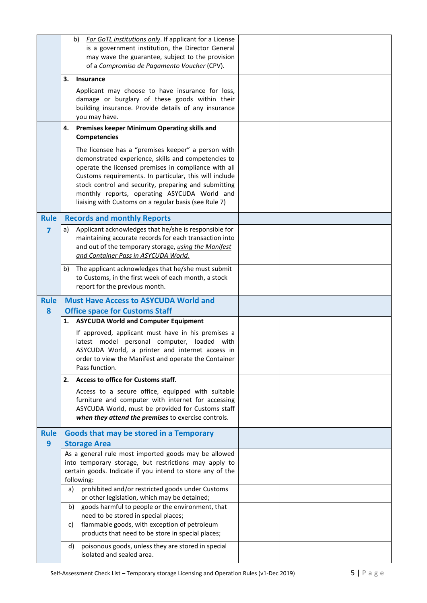|                                 | For GoTL institutions only. If applicant for a License<br>b)<br>is a government institution, the Director General |  |
|---------------------------------|-------------------------------------------------------------------------------------------------------------------|--|
|                                 | may wave the guarantee, subject to the provision                                                                  |  |
|                                 | of a Compromiso de Pagamento Voucher (CPV).                                                                       |  |
|                                 | 3.<br><b>Insurance</b>                                                                                            |  |
|                                 | Applicant may choose to have insurance for loss,<br>damage or burglary of these goods within their                |  |
|                                 | building insurance. Provide details of any insurance<br>you may have.                                             |  |
|                                 | Premises keeper Minimum Operating skills and<br>4.                                                                |  |
|                                 | <b>Competencies</b>                                                                                               |  |
|                                 | The licensee has a "premises keeper" a person with<br>demonstrated experience, skills and competencies to         |  |
|                                 | operate the licensed premises in compliance with all                                                              |  |
|                                 | Customs requirements. In particular, this will include                                                            |  |
|                                 | stock control and security, preparing and submitting<br>monthly reports, operating ASYCUDA World and              |  |
|                                 | liaising with Customs on a regular basis (see Rule 7)                                                             |  |
| <b>Rule</b>                     | <b>Records and monthly Reports</b>                                                                                |  |
| $\overline{\mathbf{z}}$         | Applicant acknowledges that he/she is responsible for<br>a)                                                       |  |
|                                 | maintaining accurate records for each transaction into<br>and out of the temporary storage, using the Manifest    |  |
|                                 | and Container Pass in ASYCUDA World.                                                                              |  |
|                                 | The applicant acknowledges that he/she must submit<br>b)                                                          |  |
|                                 | to Customs, in the first week of each month, a stock<br>report for the previous month.                            |  |
| <b>Rule</b>                     | <b>Must Have Access to ASYCUDA World and</b>                                                                      |  |
| 8                               | <b>Office space for Customs Staff</b>                                                                             |  |
|                                 | <b>ASYCUDA World and Computer Equipment</b><br>1.                                                                 |  |
|                                 | If approved, applicant must have in his premises a<br>latest model personal computer, loaded with                 |  |
|                                 | ASYCUDA World, a printer and internet access in                                                                   |  |
|                                 | order to view the Manifest and operate the Container                                                              |  |
|                                 | Pass function.<br>2.                                                                                              |  |
|                                 | Access to office for Customs staff.<br>Access to a secure office, equipped with suitable                          |  |
|                                 | furniture and computer with internet for accessing                                                                |  |
|                                 | ASYCUDA World, must be provided for Customs staff                                                                 |  |
|                                 | when they attend the premises to exercise controls.                                                               |  |
| <b>Rule</b><br>$\boldsymbol{9}$ | Goods that may be stored in a Temporary<br><b>Storage Area</b>                                                    |  |
|                                 | As a general rule most imported goods may be allowed                                                              |  |
|                                 | into temporary storage, but restrictions may apply to                                                             |  |
|                                 | certain goods. Indicate if you intend to store any of the<br>following:                                           |  |
|                                 | prohibited and/or restricted goods under Customs<br>a)                                                            |  |
|                                 | or other legislation, which may be detained;<br>goods harmful to people or the environment, that<br>b)            |  |
|                                 | need to be stored in special places;                                                                              |  |
|                                 | flammable goods, with exception of petroleum<br>c)<br>products that need to be store in special places;           |  |
|                                 | poisonous goods, unless they are stored in special<br>d)                                                          |  |
|                                 | isolated and sealed area.                                                                                         |  |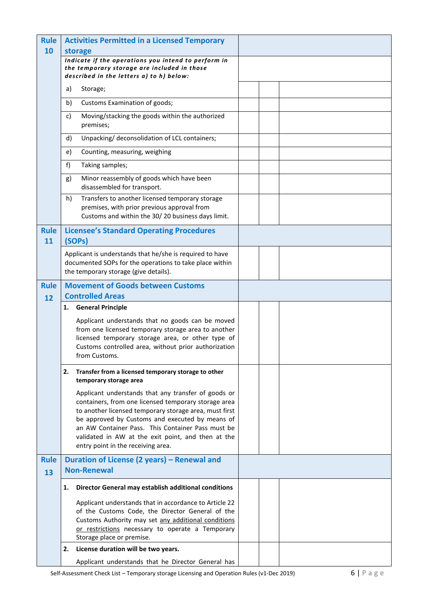| <b>Rule</b>       | <b>Activities Permitted in a Licensed Temporary</b>                                                                                                          |  |
|-------------------|--------------------------------------------------------------------------------------------------------------------------------------------------------------|--|
| 10                | storage<br>Indicate if the operations you intend to perform in                                                                                               |  |
|                   | the temporary storage are included in those<br>described in the letters a) to h) below:                                                                      |  |
|                   | a)<br>Storage;                                                                                                                                               |  |
|                   | b)<br>Customs Examination of goods;                                                                                                                          |  |
|                   | Moving/stacking the goods within the authorized<br>c)<br>premises;                                                                                           |  |
|                   | Unpacking/ deconsolidation of LCL containers;<br>d)                                                                                                          |  |
|                   | e)<br>Counting, measuring, weighing                                                                                                                          |  |
|                   | f<br>Taking samples;                                                                                                                                         |  |
|                   | Minor reassembly of goods which have been<br>g)<br>disassembled for transport.                                                                               |  |
|                   | h)<br>Transfers to another licensed temporary storage<br>premises, with prior previous approval from<br>Customs and within the 30/20 business days limit.    |  |
| <b>Rule</b><br>11 | <b>Licensee's Standard Operating Procedures</b><br>(SOPs)                                                                                                    |  |
|                   | Applicant is understands that he/she is required to have<br>documented SOPs for the operations to take place within<br>the temporary storage (give details). |  |
| <b>Rule</b>       | <b>Movement of Goods between Customs</b>                                                                                                                     |  |
| 12                | <b>Controlled Areas</b>                                                                                                                                      |  |
|                   | <b>General Principle</b><br>1.                                                                                                                               |  |
|                   | Applicant understands that no goods can be moved<br>from one licensed temporary storage area to another                                                      |  |
|                   | licensed temporary storage area, or other type of                                                                                                            |  |
|                   | Customs controlled area, without prior authorization<br>from Customs.                                                                                        |  |
|                   | 2.<br>Transfer from a licensed temporary storage to other<br>temporary storage area                                                                          |  |
|                   | Applicant understands that any transfer of goods or                                                                                                          |  |
|                   | containers, from one licensed temporary storage area<br>to another licensed temporary storage area, must first                                               |  |
|                   | be approved by Customs and executed by means of                                                                                                              |  |
|                   | an AW Container Pass. This Container Pass must be<br>validated in AW at the exit point, and then at the                                                      |  |
|                   | entry point in the receiving area.                                                                                                                           |  |
| <b>Rule</b>       | Duration of License (2 years) – Renewal and                                                                                                                  |  |
| 13                | <b>Non-Renewal</b>                                                                                                                                           |  |
|                   | Director General may establish additional conditions<br>1.                                                                                                   |  |
|                   | Applicant understands that in accordance to Article 22                                                                                                       |  |
|                   | of the Customs Code, the Director General of the<br>Customs Authority may set any additional conditions                                                      |  |
|                   | or restrictions necessary to operate a Temporary                                                                                                             |  |
|                   | Storage place or premise.<br>License duration will be two years.<br>2.                                                                                       |  |
|                   | Applicant understands that he Director General has                                                                                                           |  |